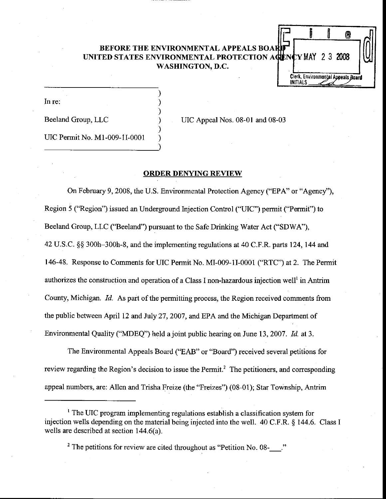# BEFORE THE ENVIRONMENTAL APPEALS BO UNITED STATES ENVIRONMENTAL PROTECTION ACTINGY MAY 2.3 2008 WASHINGTON, D.C.  $\begin{array}{c|c} 1 & e \\ \hline 0 & 2 & 3 \\ 0 & 0 & 0 \\ \hline 0 & 0 & 0 \\ \hline \end{array}$

In re:

Beeland Group, LLC

UIC Appeal Nos. 08-01 and 08-03

Clerk, Environmental Appeals Board

**INITIALS** 

UIC Permit No. Ml-009-lI-0001

# ORDER DENYING REVIEW

On February 9, 2008, the U.S. Environmental Protection Agency ('EPA' or "Agency'), Region 5 ("Region") issued an Underground Injection Control ('UIC") permit ("Permit") to Beeland Group, LLC ("Beeland") pursuant to the Safe Drinking Water Act ("SDWA"), 42 U.S.C. \$\$ 300h-300h-8, and the implementing regulations at 40 C.F.R. parts 124, 144 and 146-48. Response to Comments for UIC Permit No. MI-009-1I-0001 ("RTC") at 2. The Permit authorizes the construction and operation of a Class I non-hazardous injection well<sup>1</sup> in Antrim County, Michigan. Id. As part of the permitting process, the Region received comments from the public between April 12 and July 27, 2007, and EPA and the Michigan Department of Environmental Quality ("MDEQ") held a joint public hearing on June 13, 2007. Id. at 3.

The Environmental Appeals Board ("EAB" or "Board') received several petitions for review regarding the Region's decision to issue the Permit.<sup>2</sup> The petitioners, and corresponding appeal numbers, are: Allen and Trisha Freize (the "Freizes") (08-01); Star Township, Anhim

<sup>&</sup>lt;sup>1</sup> The UIC program implementing regulations establish a classification system for injection wells depending on the material being injected into the well. 40 C.F.R. \$ 144.6. Class I wells are described at section 144.6(a).

<sup>&</sup>lt;sup>2</sup> The petitions for review are cited throughout as "Petition No. 08-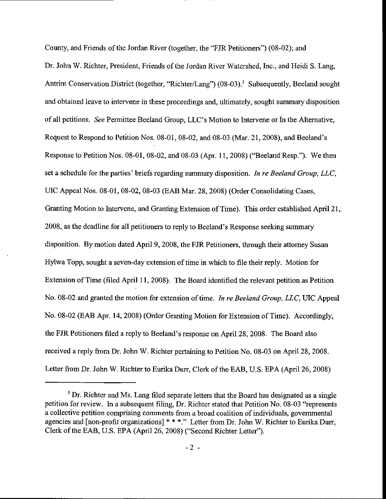County, and Friends of the Jordan River (together, the "FJR Petitioners") (08-02); and Dr. John W. Richter, President, Friends of the Jordan River Watershed, Inc., and Heidi S. Lang, Antrim Conservation District (together, "Richter/Lang") (08-03).<sup>3</sup> Subsequently, Beeland sought and obtained leave to intervene in these proceedings and, ultimately, sought summary disposition of all petitions. See Permittee Beeland Group, LLC's Motion to Intervene or In the Alternative, Request to Respond to Petition Nos. 08-01, 08-02, and 08-03 (Mar. 21, 2008), and Beeland's Response to Petition Nos.  $08-01$ ,  $08-02$ , and  $08-03$  (Apr. 11, 2008) ("Beeland Resp."). We then set a schedule for the parties' briefs regarding summary disposition. In re Beeland Group, LLC, UIC Appeal Nos. 08-01, 08-02, 08-03 (EAB Mar.28,2008) (Order Consolidating Cases, Granting Motion to Intervene, and Granting Extension of Time). This order established April 21, 2008, as the deadline for all petitioners to reply to Beeland's Response seeking summary disposition. By motion dated April 9, 2008, the FJR Petitioners, though their attomey Susan Hylwa Topp, sought a seven-day extension of time in which to file their reply. Motion for Extension of Time (filed April 11, 2008). The Board identified the relevant petition as Petition No. 08-02 and granted the motion for extension of time. In re Beeland Group, LLC, UIC Appeal No. 08-02 (EAB Apr. 14, 2008) (Order Granting Motion for Extension of Time). Accordingly, the FJR Petitioners filed a reply to Beeland's response on April 28, 2008. The Board also received a reply from Dr. John W. Richter pertaining to Petition No. 08-03 on April 28,2008. Letter from Dr. John W. Richter to Eurika Durr, Clerk of the EAB, U.S. EPA (April26,2008)

<sup>&</sup>lt;sup>3</sup> Dr. Richter and Ms. Lang filed separate letters that the Board has designated as a single petition for review. In a subsequent filing, Dr. Richter stated that Petition No. 08-03 "represents a collective petition comprising comments from a broad coalition of individuals, govemmental agencies and [non-profit organizations]  $**$ ." Letter from Dr. John W. Richter to Eurika Durr, Clerk of the EAB, U.S. EPA (April 26, 2008) ("Second Richter Letter").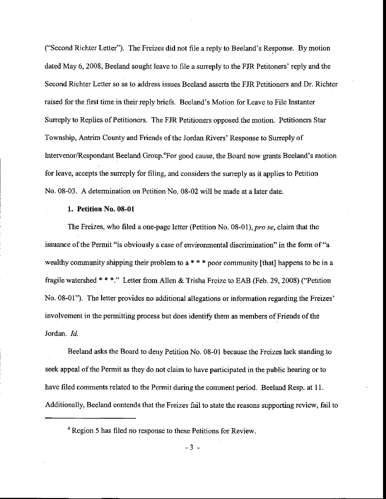("Second Richter Letter'). The Freizes did not file a reply to Beeland's Response. By motion dated May 6, 2008, Beeland sought leave to file a surreply to the FJR Petitoners' reply and the Second Richter Letter so as to address issues Beeland asserts the FJR Petitioners and Dr. Richter raised for the first time in their reply briefs. Beeland's Motion for Leave to File Instanter Suneply to Replies of Petitioners. The FJR Petitioners opposed the motion. Petitioners Star Township, Antrim County and Friends of the Jordan Rivers' Response to Surreply of Intervenor/Respondant Beeland Group.<sup>4</sup>For good cause, the Board now grants Beeland's motion for leave, accepts the surreply for filing, and considers the suneply as it applies to Petition No. 08-03. A determination on Petition No. 08-02 will be made at a later date.

#### 1. Petition No. 08-01

The Freizes, who filed a one-page letter (Petition No. 08-01), pro se, claim that the issuance ofthe Permit "is obviously a case of environmental discrimination" in the form of"a wealthy community shipping their problem to  $a$  \* \* \* poor community [that] happens to be in a fragile watershed \*\*\*." Letter from Allen & Trisha Freize to EAB (Feb. 29, 2008) ("Petition No. 08-01"). The letter provides no additional allegations or information regarding the Freizes' involvement in the permitting process but does identify them as members of Friends of the Jordan. Id.

Beeland asks the Board to deny Petition No. 08-01 because the Freizes lack standing to seek appeal of the Permit as they do not claim to have participated in the public hearing or to have filed comments related to the Permit during the comment period. Beeland Resp. at 11. Additionally, Beeland contends that the Freizes fail to state the reasons supporting review, fail to

<sup>4</sup> Region 5 has filed no response to these Petitions for Review.

-3 -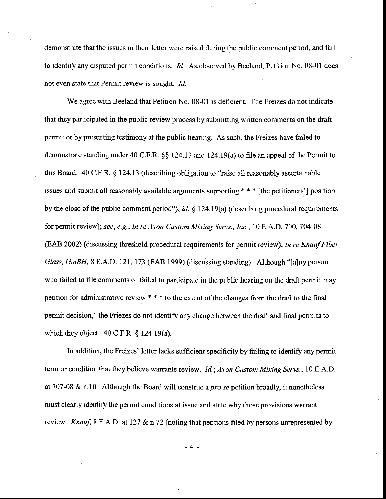demonstrate that the issues in their letter were raised during the public comment period, and fail to identify any disputed permit conditions. *Id.* As observed by Beeland, Petition No. 08-01 does not even state that Permit review is sought. *Id.* 

We agree with Beeland that Petition No. 08-01 is deficient. The Freizes do not indicate that they participated in the public review process by submitting written comments on the draft permit or by presenting testimony at the public hearing. As such, the Freizes have failed to demonstrate standing under 40 C.F.R. \$\$ 124.13 and 124.19(a) to file an appeal of the Permit to this Board. 40 C.F.R. \$ 124.13 (describing obligation to "raise all reasonably ascertainable issues and submit all reasonably available arguments supporting  $**$  [the petitioners'] position by the close of the public comment period"); id.  $\S$  124.19(a) (describing procedural requirements for permit review); see, e.g., In re Avon Custom Mixing Servs., Inc., 10 E.A.D. 700, 704-08 (EAB 2002) (discussing threshold procedural requirements for permit review); In re Knauf Fiber Glass, GmBH, 8 E.A.D. 121, 173 (EAB 1999) (discussing standing). Although "[a]ny person who failed to file comments or failed to participate in the public hearing on the draft permit may petition for administrative review  $***$  to the extent of the changes from the draft to the final permit decision," the Friezes do not identify any change between the draft and final permits to which they object.  $40 \text{ C. F.R. }$  \$ 124.19(a).

In addition, the Freizes' letter lacks sufficient specificity by failing to identify any permit term or condition that they believe warrants review. *Id.; Avon Custom Mixing Servs.*, 10 E.A.D. at 707-08 & n.10. Although the Board will construe a *pro se* petition broadly, it nonetheless must clearly identify the permit conditions at issue and state why those provisions warrant review. Knauf, 8 E.A.D. at 127  $\&$  n.72 (noting that petitions filed by persons unrepresented by

 $-4 -$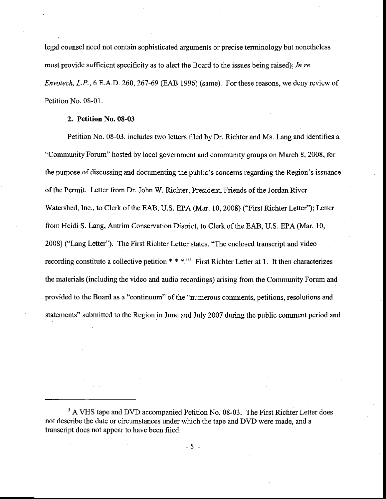legal counsel need not contain sophisticated arguments or precise terminology but nonetheless must provide sufficient specificity as to alert the Board to the issues being raised); In re Enyotech, L.P.,6E.A.D.260,267-69 (EAB 1996) (same). For these reasons, we deny review of Petition No. 08-01.

# 2. Petition No. 08-03

Petition No. 08-03, includes two ietters filed by Dr. Richter and Ms. Lang and identifies a "Community Forum" hosted by local government and community groups on March 8, 2008, for the purpose of discussing and documenting the public's concems regarding the Region's issuance of the Permit. Letter from Dr. John W. Richter. President. Friends of the Jordan River Watershed, Inc., to Clerk of the EAB, U.S. EPA (Mar. 10,2008) ("First Richter Letter'); Letter from Heidi S. Lang, Antrim Conservation District, to Clerk of the EAB, U.S. EPA (Mar. 10, 2008) ("Lang Letter'). The First Richter Letter states, "The enclosed transcript and video recording constitute a collective petition  $**$ .<sup>55</sup> First Richter Letter at 1. It then characterizes the materials (including the video and audio recordings) arising from the Community Forum and provided to the Board as a "continuum" of the "numerous comments, petitions, resolutions and statements" submitted to the Region in June and July 2007 during the public comment period and

<sup>&</sup>lt;sup>5</sup> A VHS tape and DVD accompanied Petition No. 08-03. The First Richter Letter does not describe the date or circumstances under which the tape and DVD were made, and a transcript does not appear to have been filed.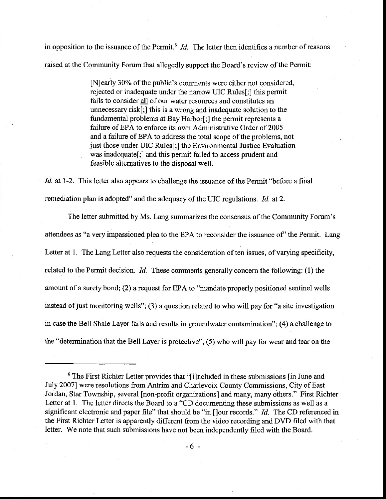in opposition to the issuance of the Permit.<sup>6</sup>  $Id$ . The letter then identifies a number of reasons raised at the Community Forum that allegedly support the Board's review of the Permit:

> [N]early 30% of the public's comments were either not considered, rejected or inadequate under the narrow UIC Rules[;] this permit fails to consider all of our water resources and constitutes an unnecessary risk[;] this is a wrong and inadequate solution to the fundamental problems at Bay Harbor[;] the permit represents a failure of EPA to enforce its own Administrative Order of 2005 and a failure of EPA to address the total scope of the problems, not just those under UIC Rules[;] the Environmental Justice Evaluation was inadequatef;] and this permit failed to access prudent and feasible alternatives to the disposal well.

Id. at 1-2. This letter also appears to challenge the issuance of the Permit "before a final remediation plan is adopted" and the adequacy of the UIC regulations. Id. at 2.

The letter submitted by Ms. Lang summarizes the consensus of the Community Forum's attendees as "a very impassioned plea to the EPA to reconsider the issuance of'the Permit. Lang Letter at 1. The Lang Letter also requests the consideration of ten issues, of varying specificity, related to the Permit decision.  $Id$ . These comments generally concern the following: (1) the amount of a surety bond; (2) a request for EPA to "mandate properly positioned sentinel wells instead of just monitoring wells"; (3) a question related to who will pay for "a site investigation in case the Be1l Shale Layer fails and results in groundwater contamination"; (4) a challenge to the "determination that the Bell Layer is protective"; (5) who will pay for wear and tear on the

 $6$  The First Richter Letter provides that "[i]ncluded in these submissions [in June and July 2007] were resolutions from Antrim and Charlevoix County Commissions, City of East Jordan, Star Township, several [non-profit organizations] and many, many others." First Richter Letter at 1. The letter directs the Board to a "CD documenting these submissions as well as a significant electronic and paper file" that should be "in []our records." *Id.* The CD referenced in the First Richter Letter is apparently different from the video recording and DVD filed with that letter. We note that such submissions have not been independentlv filed with the Board.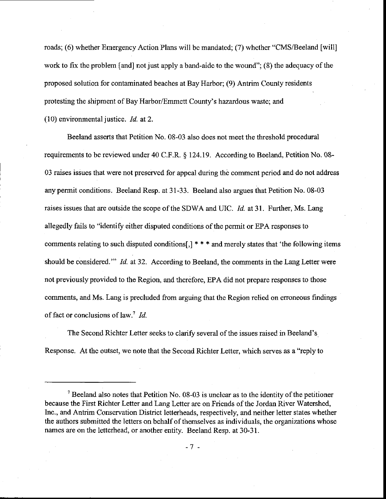roads; (6) whether Emergency Action Plans will be mandated; (7) whether "CMS/Beeland [wil1] work to fix the problem [and] not just apply a band-aide to the wound"; (8) the adequacy of the proposed solution for contaminated beaches at Bay Harbor; (9) Antrim County residents protesting the shipment of Bay Harbor/Emmett County's hazardous waste; and (10) environmental justice.  $Id$ . at 2.

Beeland asserts that Petition No. 08-03 also does not meet the threshold procedural requirements to be reviewed under 40 C.F.R. § 124.19. According to Beeland, Petition No. 08-03 raises issues that were not preserved for appeal during the comment period and do not address any permit conditions. Beeland Resp. at 31-33. Beeland also argues that Petition No. 08-03 raises issues that are outside the scope of the SDWA and UIC. Id. at 31. Further, Ms. Lang allegedly fails to "identify either disputed conditions of the permit or EPA responses to comments relating to such disputed conditions[,]  $* * *$  and merely states that 'the following items should be considered." Id. at 32. According to Beeland, the comments in the Lang Letter were not previously provided to the Region, and therefore, EPA did not prepare responses to those comments, and Ms. Lang is precluded from arguing that the Region relied on erroneous findings of fact or conclusions of law.<sup>7</sup> Id.

The Second Richter Letter seeks to clarify several of the issues raised in Beeland's. Response. At the outset, we note that the Second Richter Letter, which serves as a "reply to

 $<sup>7</sup>$  Beeland also notes that Petition No. 08-03 is unclear as to the identity of the petitioner</sup> because the First Richter Letter and Lang Letter are on Friends of the Jordan River Watershed, lnc., and Antrim Conservation District letterheads, respectively, and neither letter states whether the authors submitted the letters on behalf of themselves as individuals, the organizations whose names are on the letterhead, or another entity. Beeland Resp. at 30-31.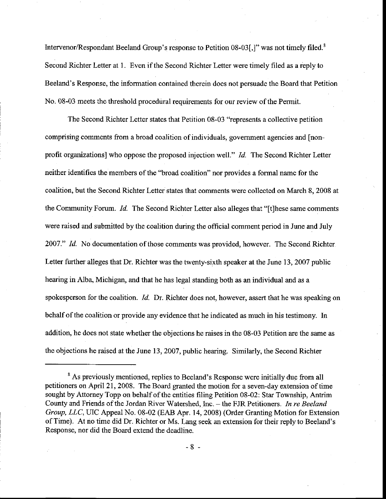Intervenor/Respondant Beeland Group's response to Petition  $08-03$ ,]" was not timely filed.<sup>8</sup> Second Richter Letter at 1. Even if the Second Richter Letter were timely filed as a reply to Beeland's Response, the information contained therein does not persuade the Board that Petition No. 08-03 meets the threshold procedural requirements for our review ofthe Permit.

The Second Richter Letter states that Petition 08-03 "represents a collective petition comprising comments fiom a broad coalition of individuals, govemment agencies and [nonprofit organizations] who oppose the proposed injection well." Id. The Second Richter Letter neither identifies the members of the "broad coalition" nor provides a formal name for the coalition, but the Second Richter Letter states that comments were collected on March 8, 2008 at the Community Forum. Id. The Second Richter Letter also alleges that "[t]hese same comments were raised and submitted by the coalition during the offrcial comment period in June and luly 2007." Id. No documentation of those comments was provided, however. The Second Richter Letter further alleges that Dr. Richter was the twenty-sixth speaker at the June 13, 2007 public hearing in Alba, Michigan, and that he has legal standing both as an individual and as a spokesperson for the coalition. *Id.* Dr. Richter does not, however, assert that he was speaking on behalf of the coalition or provide any evidence that he indicated as much in his testimony. In addition, he does not state whether the objections he raises in the 08-03 Petition are the same as the objections he raised at the June 13, 2007, public hearing. Similarly, the Second Richter

<sup>&</sup>lt;sup>8</sup> As previously mentioned, replies to Beeland's Response were initially due from all petitioners on April 21, 2008. The Board granted the motion for a seven-day extension of time sought by Attomey Topp on behalf of the entities filing Petition 08-02: Star Township, Antrim County and Friends of the Jordan River Watershed, Inc. - the FJR Petitioners. In re Beeland Group, LLC, UIC Appeal No. 08-02 (EAB Apr. 14, 2008) (Order Granting Motion for Extension of Time). At no time did Dr. Richter or Ms. Lang seek an extension for their reply to Beeland's Response, nor did the Board extend the deadline.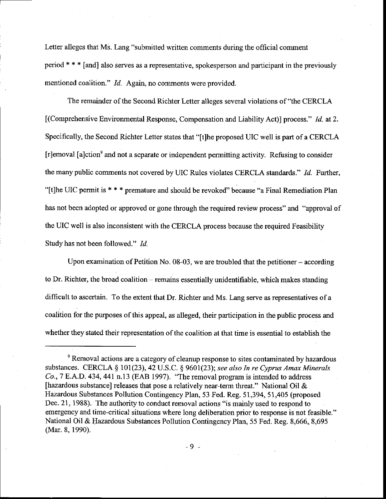Letter alleges that Ms. Lang "submitted written comments during the official conrment period + \* \* [and] also serves as a representative, spokesperson and participant in the previously mentioned coalition."  $Id$ . Again, no comments were provided.

The remainder of the Second Richter Letter alleges several violations of "the CERCLA" [(Comprehensive Environmental Response, Compensation and Liability Act)] process." *Id.* at 2. Specifically, the Second Richter Letter states that "[t]he proposed UIC well is part of a CERCLA  $[r]$ emoval [a]ction<sup>9</sup> and not a separate or independent permitting activity. Refusing to consider the many public comments not covered by UIC Rules violates CERCLA standards." Id. Further, "[t]he IIIC permit is \* \* \* premature and should be revoked" because "a Final Remediation Plan has not been adopted or approved or gone through the required review process" and "approval of the UIC well is also inconsistent with the CERCLA process because the required Feasibility Study has not been followed." Id.

Upon examination of Petition No.  $08-03$ , we are troubled that the petitioner – according to Dr. Richter, the broad coalition – remains essentially unidentifiable, which makes standing difficult to ascertain. To the extent that Dr. Richter and Ms. Lang serve as representatives of a coalition for the purposes of this appeal, as alleged, their participation in the public process and whether they stated their representation of the coalition at that time is essential to establish the

<sup>&</sup>lt;sup>9</sup> Removal actions are a category of cleanup response to sites contaminated by hazardous substances. CERCLA  $\S$  101(23), 42 U.S.C.  $\S$  9601(23); see also In re Cyprus Amax Minerals  $Co$ , 7 E.A.D. 434, 441 n.13 (EAB 1997). "The removal program is intended to address [hazardous substance] releases that pose a relatively near-term threat." National Oil & Hazardous Substances Pollution Contingency Plan, 53 Fed. Reg. 51,394, 51,405 (proposed Dec. 21, 1988). The authority to conduct removal actions "is mainly used to respond to emergency and time-critical situations where long deliberation prior to response is not feasible." National Oil & Hazardous Substances Pollution Contingency Plan, 55 Fed. Reg. 8,666, 8,695 (Mar. 8, 1990).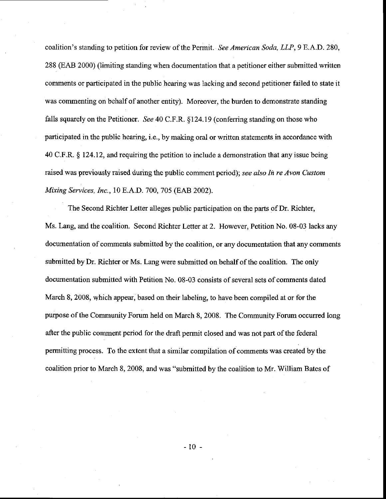coalition's standing to petition for review of the Permit. See American Soda, LLP,9 E.A.D. 280, 288 (EAB 2000) (limiting standing when documentation that a petitioner either submitted written comments or participated in the public hearing was lacking and second petitioner failed to state it was commenting on behalf of another entity). Moreover, the burden to demonstrate standing falls squarely on the Petitioner. See 40 C.F.R. §124.19 (conferring standing on those who participated in the public hearing, i.e., by making oral or written statements in accordance with 40 C.F.R. S 124.12, and requiring the petition to include a demonstration that any issue being raised was previously raised during the public comment period); see also In re Avon Custom Mixing Services, Inc., 10 E.A.D. 700,7O5 (EAB 2002).

The Second Richter Letter alleges public participation on the parts of Dr. Richter, Ms. Lang, and the coalition. Second Richter Letter at 2. However, Petition No. 08-03 lacks any documentation of comments submitted by the coalition, or any documentation that any cornments submitted by Dr. Richter or Ms. Lang were submitted on behalf of the coalition. The only documentation submitted with Petition No. 08-03 consists of several sets of comments dated March 8, 2008, which appear, based on their labeling, to have been compiled at or for the purpose of the Community Forum held on March 8, 2008. The Community Forum occuned long after the public comment period for the draft permit closed and was not part of the federal permitting process. To the extent that a similar compilation of comments was created by the coalition prior to March 8, 2008, and was "submitted by the coalition to Mr. William Bates of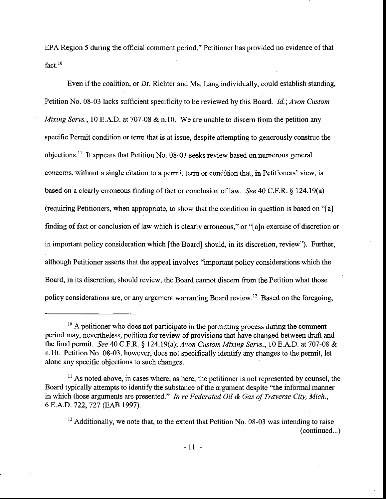EPA Region 5 during the official comment period," Petitioner has provided no evidence of that  $fact.$ <sup>10</sup>

Even if the coalition, or Dr. Richter and Ms. Lang individually, could establish standing, Petition No. 08-03 lacks sufficient specificity to be reviewed by this Board. Id.; Avon Custom Mixing Servs., 10 E.A.D. at 707-08 & n.10. We are unable to discern from the petition any specific Permit condition or term that is at issue, despite attempting to generously construe the objections.<sup>11</sup> It appears that Petition No. 08-03 seeks review based on numerous general concems, without a single citation to a permit term or condition that, in Petitioners' view, is based on a clearly erroneous finding of fact or conclusion of law. See 40 C.F.R.  $\S$  124.19(a) (requiring Petitioners, when appropriate, to show that the condition in question is based on "[a] finding of fact or conclusion of law which is clearly erroneous," or "[a]n exercise of discretion or in important policy consideration which [the Board] should, in its discretion, review'). Further, although Petitioner asserts that the appeal involves "important policy considerations which the Board, in its discretion, should review, the Board cannot discem from the Petition what those policy considerations are, or any argument warranting Board review.<sup>12</sup> Based on the foregoing,

<sup>&</sup>lt;sup>10</sup> A petitioner who does not participate in the permitting process during the comment period may, nevertheless, petition for review of provisions that have changed between draft and the final permit. See 40 C.F.R.  $\S$  124.19(a); Avon Custom Mixing, Servs., 10 E.A.D. at 707-08 & n.10. Petition No. 08-03, however, does not specifically identify any changes to the permit, let alone any specific objections to such changes.

 $<sup>11</sup>$  As noted above, in cases where, as here, the petitioner is not represented by counsel, the</sup> Board typically attempts to identify the substance of the argument despite "the informal manner in which those arguments are presented." In re Federated Oil & Gas of Traverse City, Mich., 6 E.A.D. 722, 727 (EAB 1997).

 $12$  Additionally, we note that, to the extent that Petition No. 08-03 was intending to raise (continued...)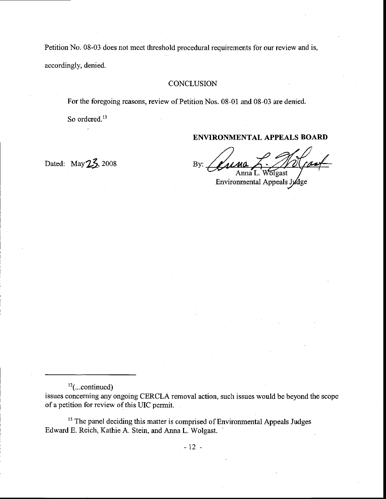Petition No. 08-03 does not meet threshold procedural requirements for our review and is, accordingly, denied.

# **CONCLUSION**

For the foregoing reasons, review of Petition Nos. 08-01 and 08-03 are denied.

So ordered. $13$ 

# ENVIRONMENTAL APPEALS BOARI)

Anna L. Wolgast

Environmental Appeals Jydge

Dated: May  $2\frac{2}{3}$ , 2008 By:

 $^{12}$ (...continued)

issues concerning any ongoing CERCLA rernoval action, such issues would be beyond the scope of a petition for review of this UIC permit.

<sup>13</sup> The panel deciding this matter is comprised of Environmental Appeals Judges Edward E. Reich, Kathie A. Stein, and Anna L. Wolgast.